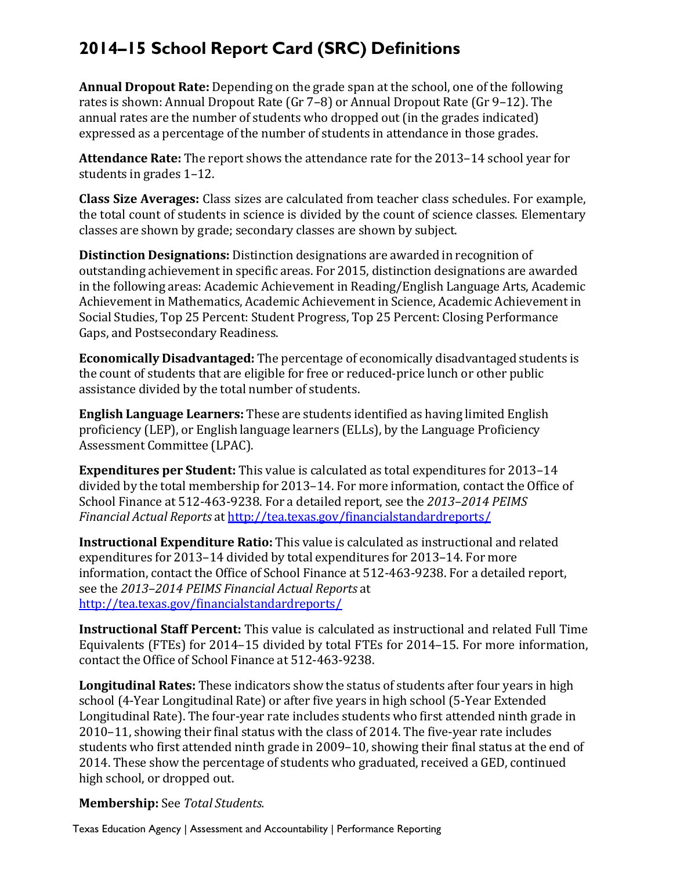## **2014–15 School Report Card (SRC) Definitions**

**Annual Dropout Rate:** Depending on the grade span at the school, one of the following annual rates are the number of students who dropped out (in the grades indicated) expressed as a percentage of the number of students in attendance in those grades. rates is shown: Annual Dropout Rate (Gr  $7-8$ ) or Annual Dropout Rate (Gr  $9-12$ ). The

**Attendance Rate:** The report shows the attendance rate for the 2013–14 school year for students in grades  $1-12$ .

**Class Size Averages:** Class sizes are calculated from teacher class schedules. For example, the total count of students in science is divided by the count of science classes. Elementary classes are shown by grade; secondary classes are shown by subject.

**Distinction Designations:** Distinction designations are awarded in recognition of outstanding achievement in specific areas. For 2015, distinction designations are awarded in the following areas: Academic Achievement in Reading/English Language Arts, Academic Achievement in Mathematics, Academic Achievement in Science, Academic Achievement in Social Studies, Top 25 Percent: Student Progress, Top 25 Percent: Closing Performance Gaps, and Postsecondary Readiness.

**Economically Disadvantaged:** The percentage of economically disadvantaged students is the count of students that are eligible for free or reduced-price lunch or other public assistance divided by the total number of students.

**English Language Learners:** These are students identified as having limited English proficiency (LEP), or English language learners (ELLs), by the Language Proficiency Assessment Committee (LPAC).

**Expenditures per Student:** This value is calculated as total expenditures for 2013-14 School Finance at 512-463-9238. For a detailed report, see the 2013–2014 PEIMS  *Financial Actual Reports* at http://tea.texas.gov/financialstandardreports/ divided by the total membership for 2013–14. For more information, contact the Office of

**Instructional Expenditure Ratio:** This value is calculated as instructional and related information, contact the Office of School Finance at 512-463-9238. For a detailed report,  see the *2013–2014 PEIMS Financial Actual Reports* at expenditures for 2013–14 divided by total expenditures for 2013–14. For more http://tea.texas.gov/financialstandardreports/

**Instructional Staff Percent:** This value is calculated as instructional and related Full Time Equivalents (FTEs) for  $2014-15$  divided by total FTEs for  $2014-15$ . For more information, contact the Office of School Finance at 512-463-9238.

Longitudinal Rates: These indicators show the status of students after four years in high students who first attended ninth grade in 2009–10, showing their final status at the end of school (4-Year Longitudinal Rate) or after five years in high school (5-Year Extended Longitudinal Rate). The four-year rate includes students who first attended ninth grade in  $2010-11$ , showing their final status with the class of 2014. The five-year rate includes 2014. These show the percentage of students who graduated, received a GED, continued high school, or dropped out.

## **Membership:** See *Total Students.*